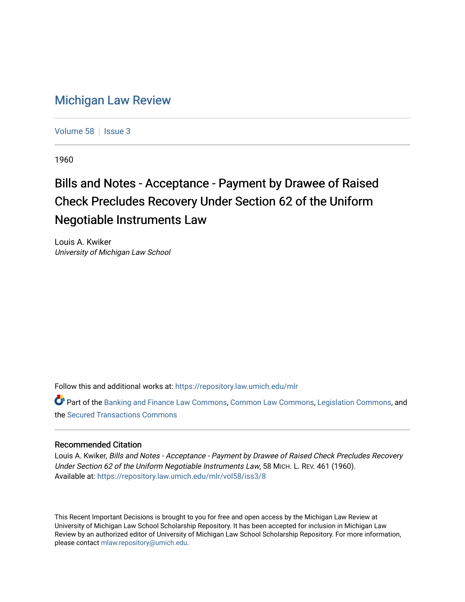## [Michigan Law Review](https://repository.law.umich.edu/mlr)

[Volume 58](https://repository.law.umich.edu/mlr/vol58) | [Issue 3](https://repository.law.umich.edu/mlr/vol58/iss3)

1960

## Bills and Notes - Acceptance - Payment by Drawee of Raised Check Precludes Recovery Under Section 62 of the Uniform Negotiable Instruments Law

Louis A. Kwiker University of Michigan Law School

Follow this and additional works at: [https://repository.law.umich.edu/mlr](https://repository.law.umich.edu/mlr?utm_source=repository.law.umich.edu%2Fmlr%2Fvol58%2Fiss3%2F8&utm_medium=PDF&utm_campaign=PDFCoverPages) 

Part of the [Banking and Finance Law Commons,](http://network.bepress.com/hgg/discipline/833?utm_source=repository.law.umich.edu%2Fmlr%2Fvol58%2Fiss3%2F8&utm_medium=PDF&utm_campaign=PDFCoverPages) [Common Law Commons,](http://network.bepress.com/hgg/discipline/1120?utm_source=repository.law.umich.edu%2Fmlr%2Fvol58%2Fiss3%2F8&utm_medium=PDF&utm_campaign=PDFCoverPages) [Legislation Commons](http://network.bepress.com/hgg/discipline/859?utm_source=repository.law.umich.edu%2Fmlr%2Fvol58%2Fiss3%2F8&utm_medium=PDF&utm_campaign=PDFCoverPages), and the [Secured Transactions Commons](http://network.bepress.com/hgg/discipline/876?utm_source=repository.law.umich.edu%2Fmlr%2Fvol58%2Fiss3%2F8&utm_medium=PDF&utm_campaign=PDFCoverPages)

## Recommended Citation

Louis A. Kwiker, Bills and Notes - Acceptance - Payment by Drawee of Raised Check Precludes Recovery Under Section 62 of the Uniform Negotiable Instruments Law, 58 MICH. L. REV. 461 (1960). Available at: [https://repository.law.umich.edu/mlr/vol58/iss3/8](https://repository.law.umich.edu/mlr/vol58/iss3/8?utm_source=repository.law.umich.edu%2Fmlr%2Fvol58%2Fiss3%2F8&utm_medium=PDF&utm_campaign=PDFCoverPages)

This Recent Important Decisions is brought to you for free and open access by the Michigan Law Review at University of Michigan Law School Scholarship Repository. It has been accepted for inclusion in Michigan Law Review by an authorized editor of University of Michigan Law School Scholarship Repository. For more information, please contact [mlaw.repository@umich.edu.](mailto:mlaw.repository@umich.edu)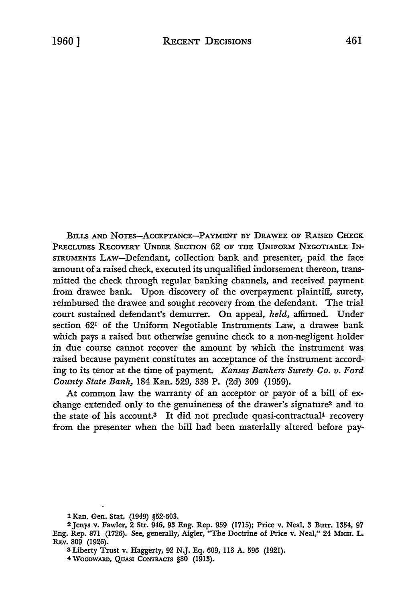BILLS AND NOTES-ACCEPTANCE-PAYMENT BY DRAWEE OF RAISED CHECK PRECLUDES RECOVERY UNDER SECTION 62 OF THE UNIFORM NEGOTIABLE IN-STRUMENTS LAW-Defendant, collection bank and presenter, paid the face amount of a raised check, executed its unqualified indorsement thereon, transmitted the check through regular banking channels, and received payment from drawee bank. Upon discovery of the overpayment plaintiff, surety, reimbursed the drawee and sought recovery from the defendant. The trial court sustained defendant's demurrer. On appeal, *held,* affirmed. Under section 621 of the Uniform Negotiable Instruments Law, a drawee bank which pays a raised but otherwise genuine check to a non-negligent holder in due course cannot recover the amount by which the instrument was raised because payment constitutes an acceptance of the instrument according to its tenor at the time of payment. *Kansas Bankers Surety Co. v. Ford County State Bank,* 184 Kan. 529, 338 P. (2d) 309 (1959).

At common law the warranty of an acceptor or payor of a bill of exchange extended only to the genuineness of the drawer's signature2 and to the state of his account.<sup>3</sup> It did not preclude quasi-contractual<sup>4</sup> recovery from the presenter when the bill had been materially altered before pay-

l Kan. Gen. Stat. (1949) §52-603.

<sup>2</sup> Jenys v. Fawler, 2 Str. 946, 93 Eng. Rep. 959 (1715); Price v. Neal, 3 Burr. 1354, 97 Eng. Rep. 871 (1726). See, generally, Aigler, "The Doctrine of Price v. Neal," 24 MICH. L. REv. 809 (1926).

<sup>3</sup>Liberty Trust v. Haggerty, 92 N.J. Eq. 609, 113 A. 596 (1921).

<sup>4</sup> WOODWARD, QUASI CONTRACTS §80 (1913).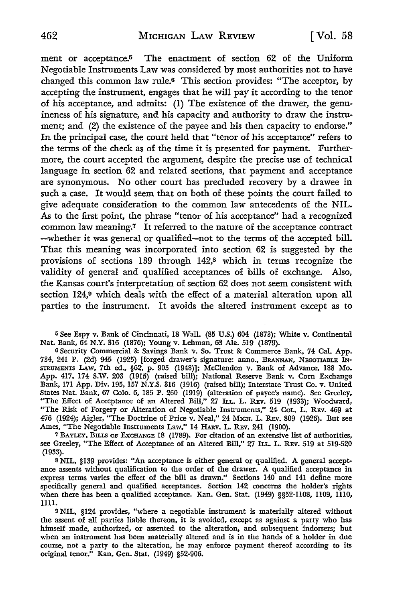ment or acceptance.5 The enactment of section 62 of the Uniform Negotiable Instruments Law was considered by most authorities not to have changed this common law rule.6 This section provides: "The acceptor, by accepting the instrument, engages that he will pay it according to the tenor of his acceptance, and admits: (1) The existence of the drawer, the genuineness of his signature, and his capacity and authority to draw the instrument; and (2) the existence of the payee and his then capacity to endorse." In the principal case, the court held that "tenor of his acceptance" refers to the terms of the check as of the time it is presented for payment. Furthermore, the court accepted the argument, despite the precise use of technical language in section 62 and related sections, that payment and acceptance are synonymous. No other court has precluded recovery by a drawee in such a case. It would seem that on both of these points the court failed to give adequate consideration to the common law antecedents of the NIL. As to the first point, the phrase "tenor of his acceptance" had a recognized common law meaning.7 It referred to the nature of the acceptance contract -whether it was general or qualified-not to the terms of the accepted bill. That this meaning was incorporated into section 62 is suggested by the provisions of sections 139 through 142,8 which in terms recognize the validity of general and qualified acceptances of bills of exchange. Also, the Kansas court's interpretation of section 62 does not seem consistent with section 124,9 which deals with the effect of a material alteration upon all parties to the instrument. It avoids the altered instrument except as to

<sup>5</sup>See Espy v. Bank of Cincinnati, 18 Wall. (85 U.S.) 604 (1873); White v. Continental Nat. Bank, 64 N.Y. 316 (1876); Young v. Lehman, 63 Ala. 519 (1879).

<sup>6</sup>Security Commercial & Savings Bank v. So. Trust & Commerce Bank, 74 Cal. App. 734, 241 P. (2d) 945 (1925) [forged drawer's signature: anno., BRANNAN, NEGOTIABLE IN-STRUMENTS LAw, 7th ed., §62, p. 905 (1948)]; McClendon v. Bank of Advance, 188 Mo. App. 417, 174 S.W. 203 (1915) (raised bill); National Reserve Bank v. Corn Exchange Bank, 171 App. Div. 195, 157 N.Y.S. 316 (1916) (raised bill); Interstate Trust Co. v. United States Nat. Bank, 67 Colo. 6, 185 P. 260 (1919) (alteration of payee's name). See Greeley, "The Effect of Acceptance of an Altered Bill," 27 ILL. L. REv. 519 (1933); Woodward, "The Risk of Forgery or Alteration of Negotiable Instruments," 24 CoL. L. REv. 469 at 476 (1924); Aigler, "The Doctrine of Price v. Neal," 24 MICH. L. REv. 809 (1926). But see Ames, "The Negotiable Instruments Law," 14 HARv. L. REv. 241 (1900).

7 BAYLEY, BILLS OF EXCHANGE 18 (1789). For citation of an extensive list of authorities, see Greeley, "The Effect of Acceptance of an Altered Bill," 27 ILL. L. REv. 519 at 519-520 (1933).

s NIL, §139 provides: "An acceptance is either general or qualified. A general acceptance assents without qualification to the order of the drawer. A qualified acceptance in express terms varies the effect of the bill as drawn." Sections 140 and 141 define more specifically general and qualified acceptances. Section 142 concerns the holder's rights when there has been a qualified acceptance. Kan. Gen. Stat. (1949) §§52-1108, 1109, 1110, 1111.

9 NIL, §124 provides, "where a negotiable instrument is materially altered without the assent of all parties liable thereon, it is avoided, except as against a party who has himself made, authorized, or assented to the alteration, and subsequent indorsers; but when an instrument has been materially altered and is in the hands of a holder in due course, not a party to the alteration, he may enforce payment thereof according to its original tenor." Kan. Gen. Stat. (1949) §52-906.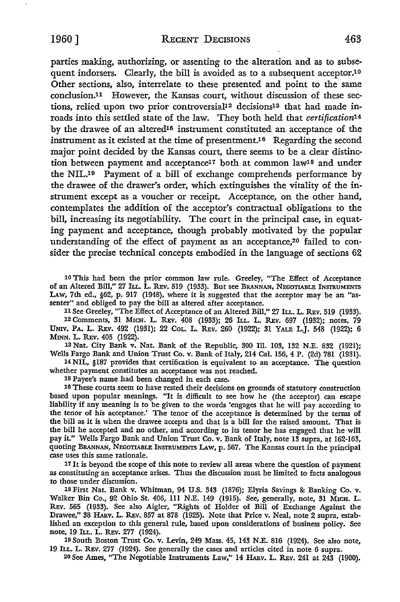parties making, authorizing, or assenting to the alteration and as to subsequent indorsers. Clearly, the bill is avoided as to a subsequent acceptor.<sup>10</sup> Other sections, also, interrelate to these presented and point to the same conclusion.11 However, the Kansas court, without discussion of these sections, relied upon two prior controversial<sup>12</sup> decisions<sup>13</sup> that had made inroads into this settled state of the law. They both held that *certification14*  by the drawee of an altered<sup>15</sup> instrument constituted an acceptance of the instrument as it existed at the time of presentment.<sup>16</sup> Regarding the second major point decided by the Kansas court, there seems to be a clear distinction between payment and acceptance<sup>17</sup> both at common law<sup>18</sup> and under the NIL.19 Payment of a bill of exchange comprehends performance by the drawee of the drawer's order, which extinguishes the vitality of the instrument except as a voucher or receipt. Acceptance, on the other hand, contemplates the addition of the acceptor's contractual obligations to the bill, increasing its negotiability. The court in the principal case, in equating payment and acceptance, though probably motivated by the popular understanding of the effect of payment as an acceptance,<sup>20</sup> failed to consider the precise technical concepts embodied in the language of sections 62

10 This had been the prior common law rule. Greeley, "The Effect of Acceptance of an Altered Bill," 27 ILL. L. REv. 519 (1933). But see BRANNAN, NEGOTIABLE INSTRUMENTS LAW, 7th ed.,  $\S62$ , p. 917 (1948), where it is suggested that the acceptor may be an "assenter" and obliged to pay the bill as altered after acceptance.

11 See Greeley, "The Effect of Acceptance of an Altered Bill," 27 ILL. L. REv. 519 (1933). 12 Comments, 31 MICH. L. REv. 408 (1933); 26 ILL. L. REv. 697 (1932); notes, 79 UNIV. PA. L. REv. 492 (1931); 22 COL. L. REv. 260 (1922); 31 YALE L.J. 548 (1922); 6 **MINN.** L. REv. 405 (1922).

13 Nat. City Bank v. Nat. Bank of the Republic, 300 Ill. 103, 132 N.E. 832 (1921); Wells Fargo Bank and Union Trust Co. v. Bank of Italy, 214 Cal. 156, 4 P. (2d) 781 (1931).

14 NIL, §187 provides that certification is equivalent to an acceptance. The question whether payment constitutes an acceptance was not reached.

115 Payee's name had been changed in each case.

16 These courts seem to have rested their decisions on grounds of statutory construction based upon popular meanings. "It is difficult to see how he (the acceptor) can escape liability if any meaning is to be given to the words 'engages that he will pay according to the tenor of his acceptance.' The tenor of the acceptance is determined by the terms of the bill as *it* is when the drawee accepts and that is a bill for the raised amount. That is the bill he accepted and no other, and according to its tenor he has engaged that he will pay **it.''** Wells Fargo Bank and Union Trust Co. v. Bank of Italy, note 13 supra, at 162-163, quoting BRANNAN, NEGOTIABLE INSTRUMENTS LAw, p. 567. The Kansas court in the principal case uses this same rationale.

17 It is beyond the scope of this note to review all areas where the question of payment as constituting an acceptance arises. Thus the discussion must be limited to facts analogous to those under discussion.

18 First Nat. Bank v. Whitman, 94 U.S. 343 (1876); Elyria Savings & Banking Co. v. Walker Bin Co., 92 Ohio St. 406, 111 N.E. 149 (1915). See, generally, note, 31 MICH. L. REv. 565 (1933). See also Aigler, "Rights of Holder of Bill of Exchange Against the Drawee," 38 HARV. L. REV. 857 at 878 (1925). Note that Price v. Neal, note 2 supra, established an exception to this general rule, based upon considerations of business policy. See note, 19 ILL. L. REv. 277 (1924).

19 South Boston Trust Co. v. Levin, 249 Mass. 45, 143 N.E. 816 (1924). See also note, 19 ILL. L. REv. 277 (1924). See generally the cases and articles cited in note 6 supra.

<sup>20</sup> See Ames, "The Negotiable Instruments Law," 14 HARV. L. REV. 241 at 243 (1900).